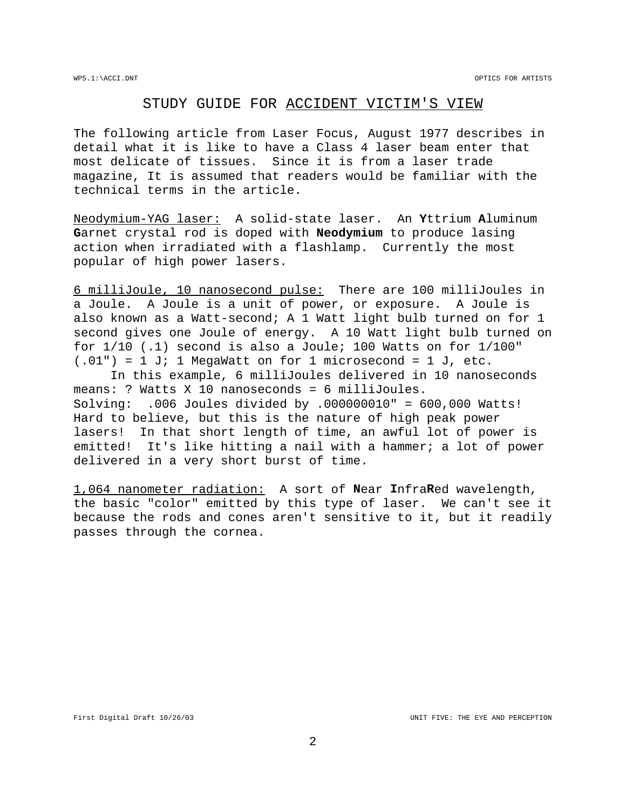## STUDY GUIDE FOR ACCIDENT VICTIM'S VIEW

The following article from Laser Focus, August 1977 describes in detail what it is like to have a Class 4 laser beam enter that most delicate of tissues. Since it is from a laser trade magazine, It is assumed that readers would be familiar with the technical terms in the article.

Neodymium-YAG laser: A solid-state laser. An **Y**ttrium **A**luminum **G**arnet crystal rod is doped with **Neodymium** to produce lasing action when irradiated with a flashlamp. Currently the most popular of high power lasers.

6 milliJoule, 10 nanosecond pulse: There are 100 milliJoules in a Joule. A Joule is a unit of power, or exposure. A Joule is also known as a Watt-second; A 1 Watt light bulb turned on for 1 second gives one Joule of energy. A 10 Watt light bulb turned on for 1/10 (.1) second is also a Joule; 100 Watts on for 1/100"  $(0.01") = 1$  J; 1 MegaWatt on for 1 microsecond = 1 J, etc.

In this example, 6 milliJoules delivered in 10 nanoseconds means: ? Watts X 10 nanoseconds = 6 milliJoules. Solving: .006 Joules divided by .000000010" = 600,000 Watts! Hard to believe, but this is the nature of high peak power lasers! In that short length of time, an awful lot of power is emitted! It's like hitting a nail with a hammer; a lot of power delivered in a very short burst of time.

1,064 nanometer radiation: A sort of **N**ear **I**nfra**R**ed wavelength, the basic "color" emitted by this type of laser. We can't see it because the rods and cones aren't sensitive to it, but it readily passes through the cornea.